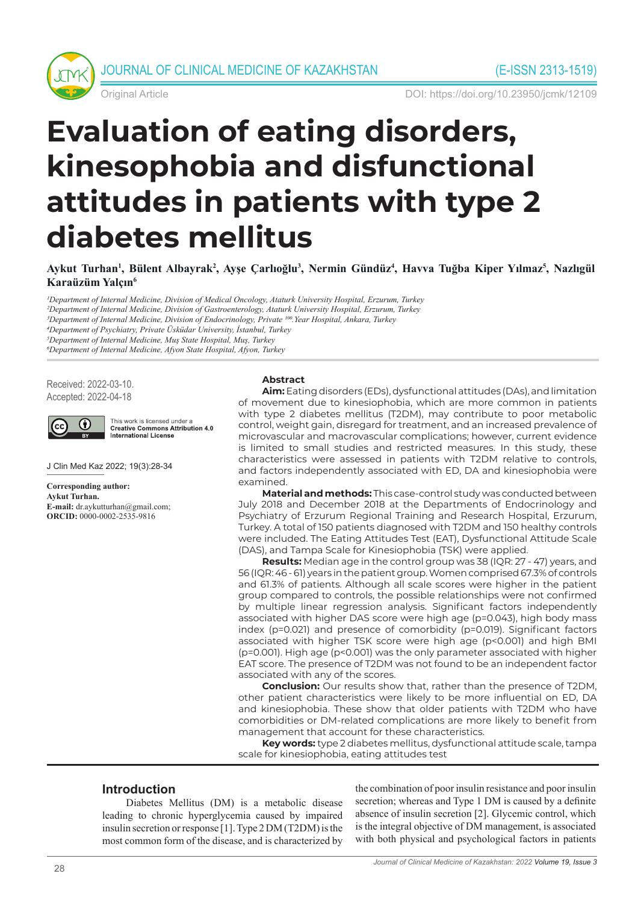

Original Article DOI: https://doi.org/10.23950/jcmk/12109

# **Evaluation of eating disorders, kinesophobia and disfunctional attitudes in patients with type 2 diabetes mellitus**

**Aykut Turhan1 , Bülent Albayrak2 , Ayşe Çarlıoğlu<sup>3</sup> , Nermin Gündüz4 , Havva Tuğba Kiper Yılmaz<sup>5</sup> , Nazlıgül Karaüzüm Yalçın<sup>6</sup>**

*1Department of Internal Medicine, Division of Medical Oncology, Ataturk University Hospital, Erzurum, Turkey 2Department of Internal Medicine, Division of Gastroenterology, Ataturk University Hospital, Erzurum, Turkey*

*3Department of Internal Medicine, Division of Endocrinology, Private 100.Year Hospital, Ankara, Turkey*

*4Department of Psychiatry, Private Üsküdar University, İstanbul, Turkey*

*5Department of Internal Medicine, Muş State Hospital, Muş, Turkey*

*6Department of Internal Medicine, Afyon State Hospital, Afyon, Turkey*

Received: 2022-03-10. Accepted: 2022-04-18



This work is licensed under a<br>Creative Commons Attribution 4.0 International License

J Clin Med Kaz 2022; 19(3):28-34

**Corresponding author: Aykut Turhan. E-mail:** dr.aykutturhan@gmail.com; **ORCID:** 0000-0002-2535-9816

#### **Abstract**

**Aim:** Eating disorders (EDs), dysfunctional attitudes (DAs), and limitation of movement due to kinesiophobia, which are more common in patients with type 2 diabetes mellitus (T2DM), may contribute to poor metabolic control, weight gain, disregard for treatment, and an increased prevalence of microvascular and macrovascular complications; however, current evidence is limited to small studies and restricted measures. In this study, these characteristics were assessed in patients with T2DM relative to controls, and factors independently associated with ED, DA and kinesiophobia were examined.

**Material and methods:** This case-control study was conducted between July 2018 and December 2018 at the Departments of Endocrinology and Psychiatry of Erzurum Regional Training and Research Hospital, Erzurum, Turkey. A total of 150 patients diagnosed with T2DM and 150 healthy controls were included. The Eating Attitudes Test (EAT), Dysfunctional Attitude Scale (DAS), and Tampa Scale for Kinesiophobia (TSK) were applied.

**Results:** Median age in the control group was 38 (IQR: 27 - 47) years, and 56 (IQR: 46 - 61) years in the patient group. Women comprised 67.3% of controls and 61.3% of patients. Although all scale scores were higher in the patient group compared to controls, the possible relationships were not confirmed by multiple linear regression analysis. Significant factors independently associated with higher DAS score were high age (p=0.043), high body mass index (p=0.021) and presence of comorbidity (p=0.019). Significant factors associated with higher TSK score were high age (p<0.001) and high BMI (p=0.001). High age (p<0.001) was the only parameter associated with higher EAT score. The presence of T2DM was not found to be an independent factor associated with any of the scores.

**Conclusion:** Our results show that, rather than the presence of T2DM, other patient characteristics were likely to be more influential on ED, DA and kinesiophobia. These show that older patients with T2DM who have comorbidities or DM-related complications are more likely to benefit from management that account for these characteristics.

**Key words:** type 2 diabetes mellitus, dysfunctional attitude scale, tampa scale for kinesiophobia, eating attitudes test

## **Introduction**

Diabetes Mellitus (DM) is a metabolic disease leading to chronic hyperglycemia caused by impaired insulin secretion or response [1]. Type 2 DM (T2DM) is the most common form of the disease, and is characterized by

the combination of poor insulin resistance and poor insulin secretion; whereas and Type 1 DM is caused by a definite absence of insulin secretion [2]. Glycemic control, which is the integral objective of DM management, is associated with both physical and psychological factors in patients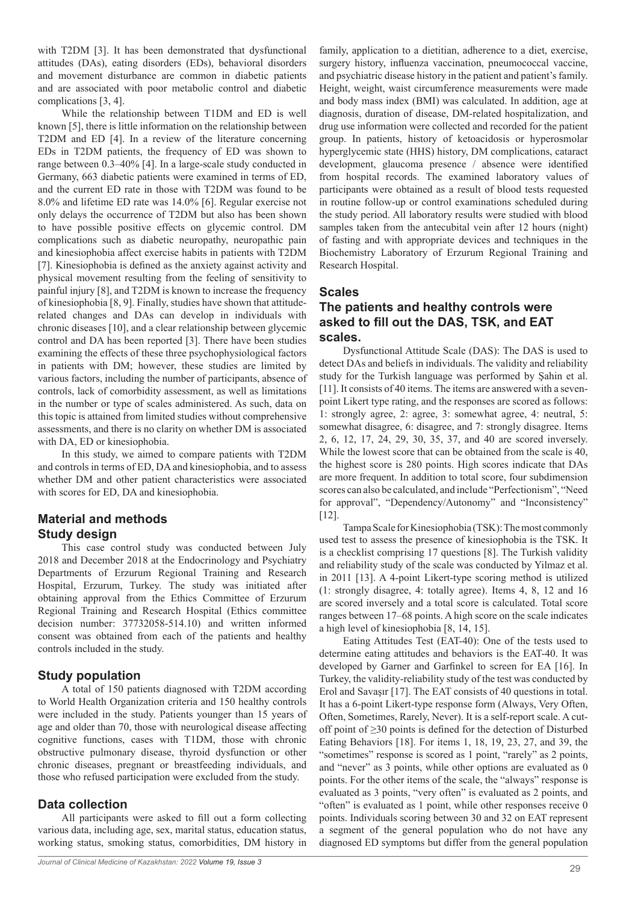with T2DM [3]. It has been demonstrated that dysfunctional attitudes (DAs), eating disorders (EDs), behavioral disorders and movement disturbance are common in diabetic patients and are associated with poor metabolic control and diabetic complications [3, 4].

While the relationship between T1DM and ED is well known [5], there is little information on the relationship between T2DM and ED [4]. In a review of the literature concerning EDs in T2DM patients, the frequency of ED was shown to range between 0.3–40% [4]. In a large-scale study conducted in Germany, 663 diabetic patients were examined in terms of ED, and the current ED rate in those with T2DM was found to be 8.0% and lifetime ED rate was 14.0% [6]. Regular exercise not only delays the occurrence of T2DM but also has been shown to have possible positive effects on glycemic control. DM complications such as diabetic neuropathy, neuropathic pain and kinesiophobia affect exercise habits in patients with T2DM [7]. Kinesiophobia is defined as the anxiety against activity and physical movement resulting from the feeling of sensitivity to painful injury [8], and T2DM is known to increase the frequency of kinesiophobia [8, 9]. Finally, studies have shown that attituderelated changes and DAs can develop in individuals with chronic diseases [10], and a clear relationship between glycemic control and DA has been reported [3]. There have been studies examining the effects of these three psychophysiological factors in patients with DM; however, these studies are limited by various factors, including the number of participants, absence of controls, lack of comorbidity assessment, as well as limitations in the number or type of scales administered. As such, data on this topic is attained from limited studies without comprehensive assessments, and there is no clarity on whether DM is associated with DA, ED or kinesiophobia.

In this study, we aimed to compare patients with T2DM and controls in terms of ED, DA and kinesiophobia, and to assess whether DM and other patient characteristics were associated with scores for ED, DA and kinesiophobia.

## **Material and methods Study design**

This case control study was conducted between July 2018 and December 2018 at the Endocrinology and Psychiatry Departments of Erzurum Regional Training and Research Hospital, Erzurum, Turkey. The study was initiated after obtaining approval from the Ethics Committee of Erzurum Regional Training and Research Hospital (Ethics committee decision number: 37732058-514.10) and written informed consent was obtained from each of the patients and healthy controls included in the study.

## **Study population**

A total of 150 patients diagnosed with T2DM according to World Health Organization criteria and 150 healthy controls were included in the study. Patients younger than 15 years of age and older than 70, those with neurological disease affecting cognitive functions, cases with T1DM, those with chronic obstructive pulmonary disease, thyroid dysfunction or other chronic diseases, pregnant or breastfeeding individuals, and those who refused participation were excluded from the study.

#### **Data collection**

All participants were asked to fill out a form collecting various data, including age, sex, marital status, education status, working status, smoking status, comorbidities, DM history in

family, application to a dietitian, adherence to a diet, exercise, surgery history, influenza vaccination, pneumococcal vaccine, and psychiatric disease history in the patient and patient's family. Height, weight, waist circumference measurements were made and body mass index (BMI) was calculated. In addition, age at diagnosis, duration of disease, DM-related hospitalization, and drug use information were collected and recorded for the patient group. In patients, history of ketoacidosis or hyperosmolar hyperglycemic state (HHS) history, DM complications, cataract development, glaucoma presence / absence were identified from hospital records. The examined laboratory values of participants were obtained as a result of blood tests requested in routine follow-up or control examinations scheduled during the study period. All laboratory results were studied with blood samples taken from the antecubital vein after 12 hours (night) of fasting and with appropriate devices and techniques in the Biochemistry Laboratory of Erzurum Regional Training and Research Hospital.

### **Scales**

## **The patients and healthy controls were asked to fill out the DAS, TSK, and EAT scales.**

Dysfunctional Attitude Scale (DAS): The DAS is used to detect DAs and beliefs in individuals. The validity and reliability study for the Turkish language was performed by Şahin et al. [11]. It consists of 40 items. The items are answered with a sevenpoint Likert type rating, and the responses are scored as follows: 1: strongly agree, 2: agree, 3: somewhat agree, 4: neutral, 5: somewhat disagree, 6: disagree, and 7: strongly disagree. Items 2, 6, 12, 17, 24, 29, 30, 35, 37, and 40 are scored inversely. While the lowest score that can be obtained from the scale is 40, the highest score is 280 points. High scores indicate that DAs are more frequent. In addition to total score, four subdimension scores can also be calculated, and include "Perfectionism", "Need for approval", "Dependency/Autonomy" and "Inconsistency" [12].

Tampa Scale for Kinesiophobia (TSK): The most commonly used test to assess the presence of kinesiophobia is the TSK. It is a checklist comprising 17 questions [8]. The Turkish validity and reliability study of the scale was conducted by Yilmaz et al. in 2011 [13]. A 4-point Likert-type scoring method is utilized (1: strongly disagree, 4: totally agree). Items 4, 8, 12 and 16 are scored inversely and a total score is calculated. Total score ranges between 17–68 points. A high score on the scale indicates a high level of kinesiophobia [8, 14, 15].

Eating Attitudes Test (EAT-40): One of the tests used to determine eating attitudes and behaviors is the EAT-40. It was developed by Garner and Garfinkel to screen for EA [16]. In Turkey, the validity-reliability study of the test was conducted by Erol and Savaşır [17]. The EAT consists of 40 questions in total. It has a 6-point Likert-type response form (Always, Very Often, Often, Sometimes, Rarely, Never). It is a self-report scale. A cutoff point of ≥30 points is defined for the detection of Disturbed Eating Behaviors [18]. For items 1, 18, 19, 23, 27, and 39, the "sometimes" response is scored as 1 point, "rarely" as 2 points, and "never" as 3 points, while other options are evaluated as 0 points. For the other items of the scale, the "always" response is evaluated as 3 points, "very often" is evaluated as 2 points, and "often" is evaluated as 1 point, while other responses receive 0 points. Individuals scoring between 30 and 32 on EAT represent a segment of the general population who do not have any diagnosed ED symptoms but differ from the general population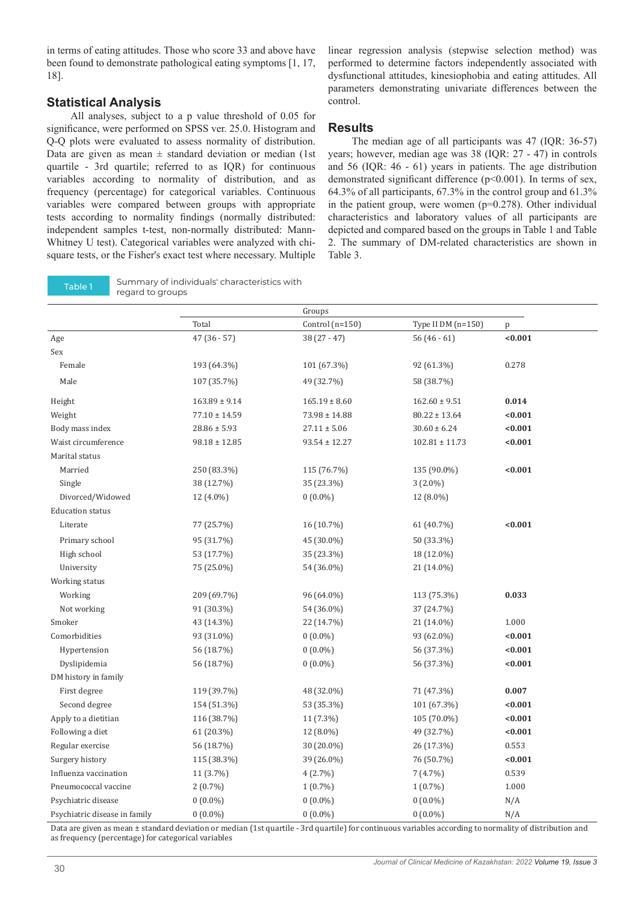in terms of eating attitudes. Those who score 33 and above have been found to demonstrate pathological eating symptoms [1, 17, 18].

#### **Statistical Analysis**

All analyses, subject to a p value threshold of 0.05 for significance, were performed on SPSS ver. 25.0. Histogram and Q-Q plots were evaluated to assess normality of distribution. Data are given as mean  $\pm$  standard deviation or median (1st quartile - 3rd quartile; referred to as IQR) for continuous variables according to normality of distribution, and as frequency (percentage) for categorical variables. Continuous variables were compared between groups with appropriate tests according to normality findings (normally distributed: independent samples t-test, non-normally distributed: Mann-Whitney U test). Categorical variables were analyzed with chisquare tests, or the Fisher's exact test where necessary. Multiple

Table 1 Summary of individuals' characteristics with regard to groups

linear regression analysis (stepwise selection method) was performed to determine factors independently associated with dysfunctional attitudes, kinesiophobia and eating attitudes. All parameters demonstrating univariate differences between the control.

#### **Results**

The median age of all participants was 47 (IQR: 36-57) years; however, median age was 38 (IQR: 27 - 47) in controls and 56 (IQR: 46 - 61) years in patients. The age distribution demonstrated significant difference (p<0.001). In terms of sex, 64.3% of all participants, 67.3% in the control group and 61.3% in the patient group, were women  $(p=0.278)$ . Other individual characteristics and laboratory values of all participants are depicted and compared based on the groups in Table 1 and Table 2. The summary of DM-related characteristics are shown in Table 3.

|                               |                   | Groups            |                      |         |  |
|-------------------------------|-------------------|-------------------|----------------------|---------|--|
|                               | Total             | Control $(n=150)$ | Type II DM $(n=150)$ | p       |  |
| Age                           | $47(36-57)$       | $38(27-47)$       | $56(46-61)$          | < 0.001 |  |
| Sex                           |                   |                   |                      |         |  |
| Female                        | 193 (64.3%)       | 101 (67.3%)       | 92 (61.3%)           | 0.278   |  |
| Male                          | 107 (35.7%)       | 49 (32.7%)        | 58 (38.7%)           |         |  |
| Height                        | $163.89 \pm 9.14$ | $165.19 \pm 8.60$ | $162.60 \pm 9.51$    | 0.014   |  |
| Weight                        | $77.10 \pm 14.59$ | $73.98 \pm 14.88$ | $80.22 \pm 13.64$    | < 0.001 |  |
| Body mass index               | $28.86 \pm 5.93$  | $27.11 \pm 5.06$  | $30.60 \pm 6.24$     | < 0.001 |  |
| Waist circumference           | $98.18 \pm 12.85$ | $93.54 \pm 12.27$ | $102.81 \pm 11.73$   | < 0.001 |  |
| Marital status                |                   |                   |                      |         |  |
| Married                       | 250 (83.3%)       | 115 (76.7%)       | 135 (90.0%)          | < 0.001 |  |
| Single                        | 38 (12.7%)        | 35 (23.3%)        | $3(2.0\%)$           |         |  |
| Divorced/Widowed              | 12 (4.0%)         | $0(0.0\%)$        | 12 (8.0%)            |         |  |
| <b>Education status</b>       |                   |                   |                      |         |  |
| Literate                      | 77 (25.7%)        | 16 (10.7%)        | 61 (40.7%)           | < 0.001 |  |
| Primary school                | 95 (31.7%)        | 45 (30.0%)        | 50 (33.3%)           |         |  |
| High school                   | 53 (17.7%)        | 35 (23.3%)        | 18 (12.0%)           |         |  |
| University                    | 75 (25.0%)        | 54 (36.0%)        | 21 (14.0%)           |         |  |
| Working status                |                   |                   |                      |         |  |
| Working                       | 209 (69.7%)       | 96 (64.0%)        | 113 (75.3%)          | 0.033   |  |
| Not working                   | 91 (30.3%)        | 54 (36.0%)        | 37 (24.7%)           |         |  |
| Smoker                        | 43 (14.3%)        | 22 (14.7%)        | 21 (14.0%)           | 1.000   |  |
| Comorbidities                 | 93 (31.0%)        | $0(0.0\%)$        | 93 (62.0%)           | < 0.001 |  |
| Hypertension                  | 56 (18.7%)        | $0(0.0\%)$        | 56 (37.3%)           | < 0.001 |  |
| Dyslipidemia                  | 56 (18.7%)        | $0(0.0\%)$        | 56 (37.3%)           | < 0.001 |  |
| DM history in family          |                   |                   |                      |         |  |
| First degree                  | 119 (39.7%)       | 48 (32.0%)        | 71 (47.3%)           | 0.007   |  |
| Second degree                 | 154 (51.3%)       | 53 (35.3%)        | 101 (67.3%)          | < 0.001 |  |
| Apply to a dietitian          | 116 (38.7%)       | 11 (7.3%)         | 105 (70.0%)          | < 0.001 |  |
| Following a diet              | 61 (20.3%)        | 12 (8.0%)         | 49 (32.7%)           | < 0.001 |  |
| Regular exercise              | 56 (18.7%)        | 30 (20.0%)        | 26 (17.3%)           | 0.553   |  |
| Surgery history               | 115 (38.3%)       | 39 (26.0%)        | 76 (50.7%)           | < 0.001 |  |
| Influenza vaccination         | 11 (3.7%)         | 4(2.7%)           | 7(4.7%)              | 0.539   |  |
| Pneumococcal vaccine          | $2(0.7\%)$        | $1(0.7\%)$        | $1(0.7\%)$           | 1.000   |  |
| Psychiatric disease           | $0(0.0\%)$        | $0(0.0\%)$        | $0(0.0\%)$           | N/A     |  |
| Psychiatric disease in family | $0(0.0\%)$        | $0(0.0\%)$        | $0(0.0\%)$           | N/A     |  |

Data are given as mean ± standard deviation or median (1st quartile - 3rd quartile) for continuous variables according to normality of distribution and as frequency (percentage) for categorical variables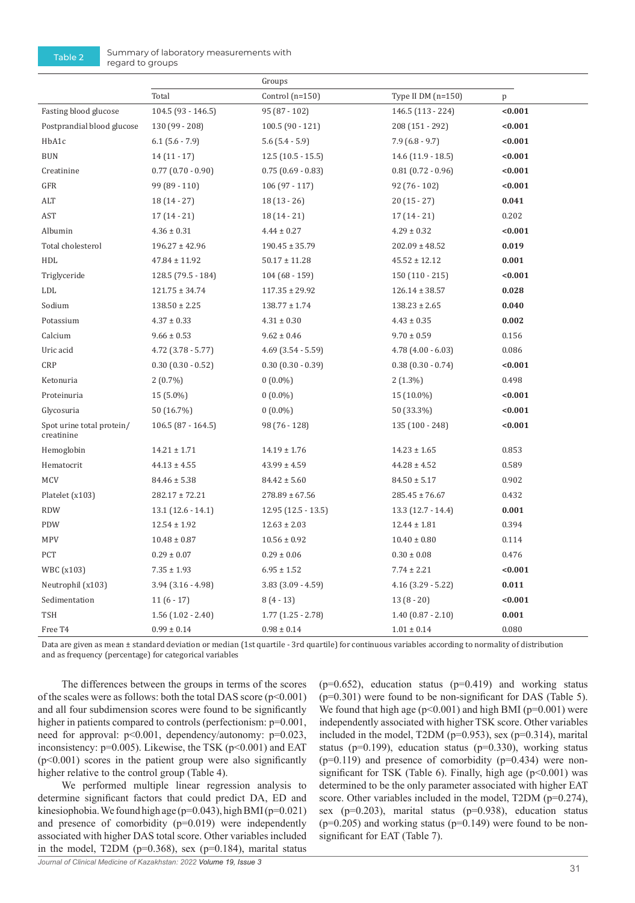Table 2 Summary of laboratory measurements with regard to groups

|                                         |                        | Groups                 |                        |         |
|-----------------------------------------|------------------------|------------------------|------------------------|---------|
|                                         | Total                  | Control (n=150)        | Type II DM (n=150)     | p       |
| Fasting blood glucose                   | $104.5(93 - 146.5)$    | 95 (87 - 102)          | 146.5 (113 - 224)      | < 0.001 |
| Postprandial blood glucose              | 130 (99 - 208)         | $100.5(90 - 121)$      | 208 (151 - 292)        | < 0.001 |
| HbA1c                                   | $6.1$ (5.6 - 7.9)      | $5.6(5.4-5.9)$         | $7.9(6.8-9.7)$         | < 0.001 |
| <b>BUN</b>                              | $14(11-17)$            | $12.5(10.5 - 15.5)$    | 14.6 (11.9 - 18.5)     | < 0.001 |
| Creatinine                              | $0.77$ $(0.70 - 0.90)$ | $0.75(0.69 - 0.83)$    | $0.81$ $(0.72 - 0.96)$ | < 0.001 |
| ${\tt GFR}$                             | $99(89-110)$           | $106(97-117)$          | $92(76-102)$           | < 0.001 |
| ALT                                     | $18(14-27)$            | $18(13-26)$            | $20(15 - 27)$          | 0.041   |
| AST                                     | $17(14-21)$            | $18(14-21)$            | $17(14-21)$            | 0.202   |
| Albumin                                 | $4.36 \pm 0.31$        | $4.44 \pm 0.27$        | $4.29 \pm 0.32$        | < 0.001 |
| Total cholesterol                       | $196.27 \pm 42.96$     | $190.45 \pm 35.79$     | $202.09 \pm 48.52$     | 0.019   |
| HDL                                     | $47.84 \pm 11.92$      | $50.17 \pm 11.28$      | $45.52 \pm 12.12$      | 0.001   |
| Triglyceride                            | 128.5 (79.5 - 184)     | $104(68-159)$          | 150 (110 - 215)        | < 0.001 |
| LDL                                     | $121.75 \pm 34.74$     | $117.35 \pm 29.92$     | $126.14 \pm 38.57$     | 0.028   |
| Sodium                                  | $138.50 \pm 2.25$      | $138.77 \pm 1.74$      | $138.23 \pm 2.65$      | 0.040   |
| Potassium                               | $4.37 \pm 0.33$        | $4.31 \pm 0.30$        | $4.43 \pm 0.35$        | 0.002   |
| Calcium                                 | $9.66 \pm 0.53$        | $9.62 \pm 0.46$        | $9.70 \pm 0.59$        | 0.156   |
| Uric acid                               | $4.72$ (3.78 - 5.77)   | $4.69$ $(3.54 - 5.59)$ | $4.78$ $(4.00 - 6.03)$ | 0.086   |
| CRP                                     | $0.30(0.30 - 0.52)$    | $0.30$ $(0.30 - 0.39)$ | $0.38$ $(0.30 - 0.74)$ | < 0.001 |
| Ketonuria                               | $2(0.7\%)$             | $0(0.0\%)$             | $2(1.3\%)$             | 0.498   |
| Proteinuria                             | 15 (5.0%)              | $0(0.0\%)$             | 15 (10.0%)             | < 0.001 |
| Glycosuria                              | 50 (16.7%)             | $0(0.0\%)$             | 50 (33.3%)             | < 0.001 |
| Spot urine total protein/<br>creatinine | $106.5(87 - 164.5)$    | 98 (76 - 128)          | 135 (100 - 248)        | < 0.001 |
| Hemoglobin                              | $14.21 \pm 1.71$       | $14.19 \pm 1.76$       | $14.23 \pm 1.65$       | 0.853   |
| Hematocrit                              | $44.13 \pm 4.55$       | $43.99 \pm 4.59$       | $44.28 \pm 4.52$       | 0.589   |
| <b>MCV</b>                              | $84.46 \pm 5.38$       | $84.42 \pm 5.60$       | $84.50 \pm 5.17$       | 0.902   |
| Platelet (x103)                         | $282.17 \pm 72.21$     | $278.89 \pm 67.56$     | $285.45 \pm 76.67$     | 0.432   |
| <b>RDW</b>                              | $13.1(12.6 - 14.1)$    | 12.95 (12.5 - 13.5)    | $13.3(12.7 - 14.4)$    | 0.001   |
| PDW                                     | $12.54 \pm 1.92$       | $12.63 \pm 2.03$       | $12.44 \pm 1.81$       | 0.394   |
| <b>MPV</b>                              | $10.48 \pm 0.87$       | $10.56 \pm 0.92$       | $10.40 \pm 0.80$       | 0.114   |
| PCT                                     | $0.29 \pm 0.07$        | $0.29 \pm 0.06$        | $0.30 \pm 0.08$        | 0.476   |
| WBC (x103)                              | $7.35 \pm 1.93$        | $6.95 \pm 1.52$        | $7.74 \pm 2.21$        | < 0.001 |
| Neutrophil (x103)                       | $3.94$ $(3.16 - 4.98)$ | $3.83$ $(3.09 - 4.59)$ | $4.16$ (3.29 - 5.22)   | 0.011   |
| Sedimentation                           | $11(6-17)$             | $8(4-13)$              | $13(8-20)$             | < 0.001 |
| TSH                                     | $1.56(1.02 - 2.40)$    | $1.77$ $(1.25 - 2.78)$ | $1.40(0.87 - 2.10)$    | 0.001   |
| Free T4                                 | $0.99 \pm 0.14$        | $0.98 \pm 0.14$        | $1.01 \pm 0.14$        | 0.080   |

Data are given as mean ± standard deviation or median (1st quartile - 3rd quartile) for continuous variables according to normality of distribution and as frequency (percentage) for categorical variables

The differences between the groups in terms of the scores of the scales were as follows: both the total DAS score (p<0.001) and all four subdimension scores were found to be significantly higher in patients compared to controls (perfectionism:  $p=0.001$ , need for approval:  $p<0.001$ , dependency/autonomy:  $p=0.023$ , inconsistency:  $p=0.005$ ). Likewise, the TSK ( $p<0.001$ ) and EAT  $(p<0.001)$  scores in the patient group were also significantly higher relative to the control group (Table 4).

We performed multiple linear regression analysis to determine significant factors that could predict DA, ED and kinesiophobia. We found high age (p=0.043), high BMI (p=0.021) and presence of comorbidity (p=0.019) were independently associated with higher DAS total score. Other variables included in the model, T2DM ( $p=0.368$ ), sex ( $p=0.184$ ), marital status  $(p=0.652)$ , education status  $(p=0.419)$  and working status (p=0.301) were found to be non-significant for DAS (Table 5). We found that high age ( $p<0.001$ ) and high BMI ( $p=0.001$ ) were independently associated with higher TSK score. Other variables included in the model,  $T2DM$  ( $p=0.953$ ), sex ( $p=0.314$ ), marital status ( $p=0.199$ ), education status ( $p=0.330$ ), working status  $(p=0.119)$  and presence of comorbidity  $(p=0.434)$  were nonsignificant for TSK (Table 6). Finally, high age  $(p<0.001)$  was determined to be the only parameter associated with higher EAT score. Other variables included in the model, T2DM (p=0.274), sex (p=0.203), marital status (p=0.938), education status  $(p=0.205)$  and working status  $(p=0.149)$  were found to be nonsignificant for EAT (Table 7).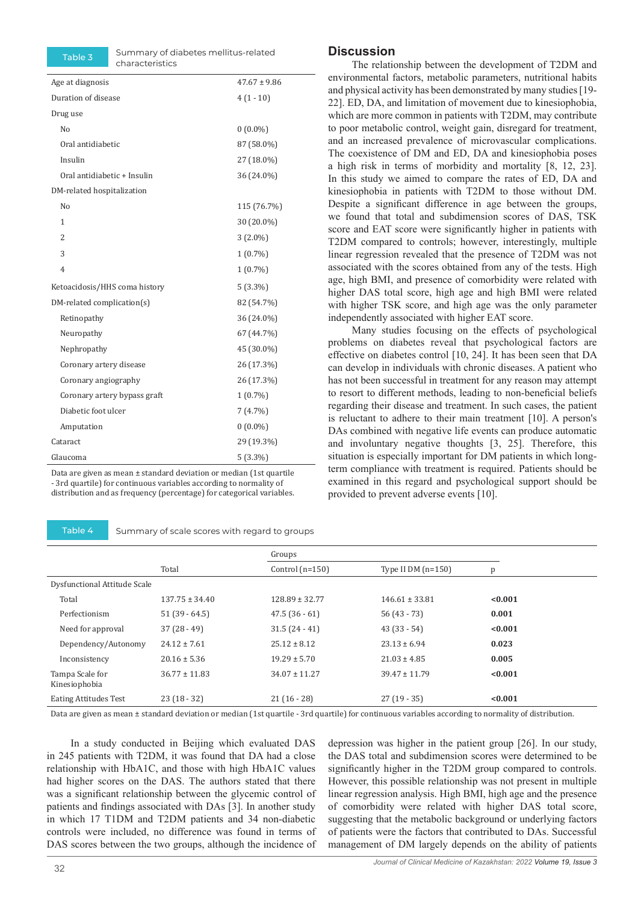Table 3 Summary of diabetes mellitus-related characteristics

| Age at diagnosis              | $47.67 \pm 9.86$ |  |
|-------------------------------|------------------|--|
| Duration of disease           | $4(1-10)$        |  |
| Drug use                      |                  |  |
| No                            | $0(0.0\%)$       |  |
| Oral antidiabetic             | 87 (58.0%)       |  |
| Insulin                       | 27 (18.0%)       |  |
| Oral antidiabetic + Insulin   | 36 (24.0%)       |  |
| DM-related hospitalization    |                  |  |
| No                            | 115 (76.7%)      |  |
| $\mathbf{1}$                  | 30 (20.0%)       |  |
| $\overline{2}$                | $3(2.0\%)$       |  |
| 3                             | $1(0.7\%)$       |  |
| 4                             | $1(0.7\%)$       |  |
| Ketoacidosis/HHS coma history | $5(3.3\%)$       |  |
| DM-related complication(s)    | 82 (54.7%)       |  |
| Retinopathy                   | 36 (24.0%)       |  |
| Neuropathy                    | 67 (44.7%)       |  |
| Nephropathy                   | 45 (30.0%)       |  |
| Coronary artery disease       | 26 (17.3%)       |  |
| Coronary angiography          | 26 (17.3%)       |  |
| Coronary artery bypass graft  | $1(0.7\%)$       |  |
| Diabetic foot ulcer           | 7 (4.7%)         |  |
| Amputation                    | $0(0.0\%)$       |  |
| Cataract                      | 29 (19.3%)       |  |
| Glaucoma                      | $5(3.3\%)$       |  |
|                               |                  |  |

Data are given as mean ± standard deviation or median (1st quartile - 3rd quartile) for continuous variables according to normality of distribution and as frequency (percentage) for categorical variables.

Table 4 Summary of scale scores with regard to groups

#### **Discussion**

The relationship between the development of T2DM and environmental factors, metabolic parameters, nutritional habits and physical activity has been demonstrated by many studies [19- 22]. ED, DA, and limitation of movement due to kinesiophobia, which are more common in patients with T2DM, may contribute to poor metabolic control, weight gain, disregard for treatment, and an increased prevalence of microvascular complications. The coexistence of DM and ED, DA and kinesiophobia poses a high risk in terms of morbidity and mortality [8, 12, 23]. In this study we aimed to compare the rates of ED, DA and kinesiophobia in patients with T2DM to those without DM. Despite a significant difference in age between the groups, we found that total and subdimension scores of DAS, TSK score and EAT score were significantly higher in patients with T2DM compared to controls; however, interestingly, multiple linear regression revealed that the presence of T2DM was not associated with the scores obtained from any of the tests. High age, high BMI, and presence of comorbidity were related with higher DAS total score, high age and high BMI were related with higher TSK score, and high age was the only parameter independently associated with higher EAT score.

Many studies focusing on the effects of psychological problems on diabetes reveal that psychological factors are effective on diabetes control [10, 24]. It has been seen that DA can develop in individuals with chronic diseases. A patient who has not been successful in treatment for any reason may attempt to resort to different methods, leading to non-beneficial beliefs regarding their disease and treatment. In such cases, the patient is reluctant to adhere to their main treatment [10]. A person's DAs combined with negative life events can produce automatic and involuntary negative thoughts [3, 25]. Therefore, this situation is especially important for DM patients in which longterm compliance with treatment is required. Patients should be examined in this regard and psychological support should be provided to prevent adverse events [10].

|                              |                    | Groups             |                     |         |  |
|------------------------------|--------------------|--------------------|---------------------|---------|--|
|                              | Total              | Control $(n=150)$  | Type II $DM(n=150)$ | p       |  |
| Dysfunctional Attitude Scale |                    |                    |                     |         |  |
| Total                        | $137.75 \pm 34.40$ | $128.89 \pm 32.77$ | $146.61 \pm 33.81$  | < 0.001 |  |
| Perfectionism                | $51(39-64.5)$      | $47.5(36-61)$      | $56(43-73)$         | 0.001   |  |
| Need for approval            | $37(28-49)$        | $31.5(24-41)$      | $43(33-54)$         | < 0.001 |  |
| Dependency/Autonomy          | $24.12 \pm 7.61$   | $25.12 \pm 8.12$   | $23.13 \pm 6.94$    | 0.023   |  |
| Inconsistency                | $20.16 \pm 5.36$   | $19.29 \pm 5.70$   | $21.03 \pm 4.85$    | 0.005   |  |
| Tampa Scale for              | $36.77 \pm 11.83$  | $34.07 \pm 11.27$  | $39.47 \pm 11.79$   | < 0.001 |  |
| Kinesiophobia                |                    |                    |                     |         |  |
| <b>Eating Attitudes Test</b> | $23(18-32)$        | $21(16-28)$        | $27(19-35)$         | < 0.001 |  |

Data are given as mean ± standard deviation or median (1st quartile - 3rd quartile) for continuous variables according to normality of distribution.

In a study conducted in Beijing which evaluated DAS in 245 patients with T2DM, it was found that DA had a close relationship with HbA1C, and those with high HbA1C values had higher scores on the DAS. The authors stated that there was a significant relationship between the glycemic control of patients and findings associated with DAs [3]. In another study in which 17 T1DM and T2DM patients and 34 non-diabetic controls were included, no difference was found in terms of DAS scores between the two groups, although the incidence of

depression was higher in the patient group [26]. In our study, the DAS total and subdimension scores were determined to be significantly higher in the T2DM group compared to controls. However, this possible relationship was not present in multiple linear regression analysis. High BMI, high age and the presence of comorbidity were related with higher DAS total score, suggesting that the metabolic background or underlying factors of patients were the factors that contributed to DAs. Successful management of DM largely depends on the ability of patients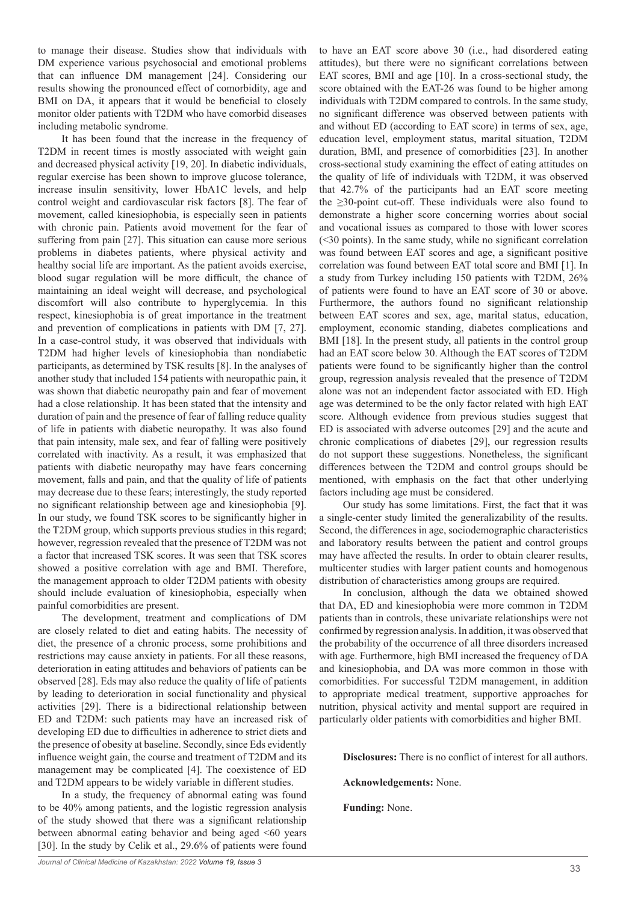to manage their disease. Studies show that individuals with DM experience various psychosocial and emotional problems that can influence DM management [24]. Considering our results showing the pronounced effect of comorbidity, age and BMI on DA, it appears that it would be beneficial to closely monitor older patients with T2DM who have comorbid diseases including metabolic syndrome.

It has been found that the increase in the frequency of T2DM in recent times is mostly associated with weight gain and decreased physical activity [19, 20]. In diabetic individuals, regular exercise has been shown to improve glucose tolerance, increase insulin sensitivity, lower HbA1C levels, and help control weight and cardiovascular risk factors [8]. The fear of movement, called kinesiophobia, is especially seen in patients with chronic pain. Patients avoid movement for the fear of suffering from pain [27]. This situation can cause more serious problems in diabetes patients, where physical activity and healthy social life are important. As the patient avoids exercise, blood sugar regulation will be more difficult, the chance of maintaining an ideal weight will decrease, and psychological discomfort will also contribute to hyperglycemia. In this respect, kinesiophobia is of great importance in the treatment and prevention of complications in patients with DM [7, 27]. In a case-control study, it was observed that individuals with T2DM had higher levels of kinesiophobia than nondiabetic participants, as determined by TSK results [8]. In the analyses of another study that included 154 patients with neuropathic pain, it was shown that diabetic neuropathy pain and fear of movement had a close relationship. It has been stated that the intensity and duration of pain and the presence of fear of falling reduce quality of life in patients with diabetic neuropathy. It was also found that pain intensity, male sex, and fear of falling were positively correlated with inactivity. As a result, it was emphasized that patients with diabetic neuropathy may have fears concerning movement, falls and pain, and that the quality of life of patients may decrease due to these fears; interestingly, the study reported no significant relationship between age and kinesiophobia [9]. In our study, we found TSK scores to be significantly higher in the T2DM group, which supports previous studies in this regard; however, regression revealed that the presence of T2DM was not a factor that increased TSK scores. It was seen that TSK scores showed a positive correlation with age and BMI. Therefore, the management approach to older T2DM patients with obesity should include evaluation of kinesiophobia, especially when painful comorbidities are present.

The development, treatment and complications of DM are closely related to diet and eating habits. The necessity of diet, the presence of a chronic process, some prohibitions and restrictions may cause anxiety in patients. For all these reasons, deterioration in eating attitudes and behaviors of patients can be observed [28]. Eds may also reduce the quality of life of patients by leading to deterioration in social functionality and physical activities [29]. There is a bidirectional relationship between ED and T2DM: such patients may have an increased risk of developing ED due to difficulties in adherence to strict diets and the presence of obesity at baseline. Secondly, since Eds evidently influence weight gain, the course and treatment of T2DM and its management may be complicated [4]. The coexistence of ED and T2DM appears to be widely variable in different studies.

In a study, the frequency of abnormal eating was found to be 40% among patients, and the logistic regression analysis of the study showed that there was a significant relationship between abnormal eating behavior and being aged <60 years [30]. In the study by Celik et al., 29.6% of patients were found

to have an EAT score above 30 (i.e., had disordered eating attitudes), but there were no significant correlations between EAT scores, BMI and age [10]. In a cross-sectional study, the score obtained with the EAT-26 was found to be higher among individuals with T2DM compared to controls. In the same study, no significant difference was observed between patients with and without ED (according to EAT score) in terms of sex, age, education level, employment status, marital situation, T2DM duration, BMI, and presence of comorbidities [23]. In another cross-sectional study examining the effect of eating attitudes on the quality of life of individuals with T2DM, it was observed that 42.7% of the participants had an EAT score meeting the ≥30-point cut-off. These individuals were also found to demonstrate a higher score concerning worries about social and vocational issues as compared to those with lower scores (<30 points). In the same study, while no significant correlation was found between EAT scores and age, a significant positive correlation was found between EAT total score and BMI [1]. In a study from Turkey including 150 patients with T2DM, 26% of patients were found to have an EAT score of 30 or above. Furthermore, the authors found no significant relationship between EAT scores and sex, age, marital status, education, employment, economic standing, diabetes complications and BMI [18]. In the present study, all patients in the control group had an EAT score below 30. Although the EAT scores of T2DM patients were found to be significantly higher than the control group, regression analysis revealed that the presence of T2DM alone was not an independent factor associated with ED. High age was determined to be the only factor related with high EAT score. Although evidence from previous studies suggest that ED is associated with adverse outcomes [29] and the acute and chronic complications of diabetes [29], our regression results do not support these suggestions. Nonetheless, the significant differences between the T2DM and control groups should be mentioned, with emphasis on the fact that other underlying factors including age must be considered.

Our study has some limitations. First, the fact that it was a single-center study limited the generalizability of the results. Second, the differences in age, sociodemographic characteristics and laboratory results between the patient and control groups may have affected the results. In order to obtain clearer results, multicenter studies with larger patient counts and homogenous distribution of characteristics among groups are required.

In conclusion, although the data we obtained showed that DA, ED and kinesiophobia were more common in T2DM patients than in controls, these univariate relationships were not confirmed by regression analysis. In addition, it was observed that the probability of the occurrence of all three disorders increased with age. Furthermore, high BMI increased the frequency of DA and kinesiophobia, and DA was more common in those with comorbidities. For successful T2DM management, in addition to appropriate medical treatment, supportive approaches for nutrition, physical activity and mental support are required in particularly older patients with comorbidities and higher BMI.

**Disclosures:** There is no conflict of interest for all authors.

**Acknowledgements:** None.

**Funding:** None.